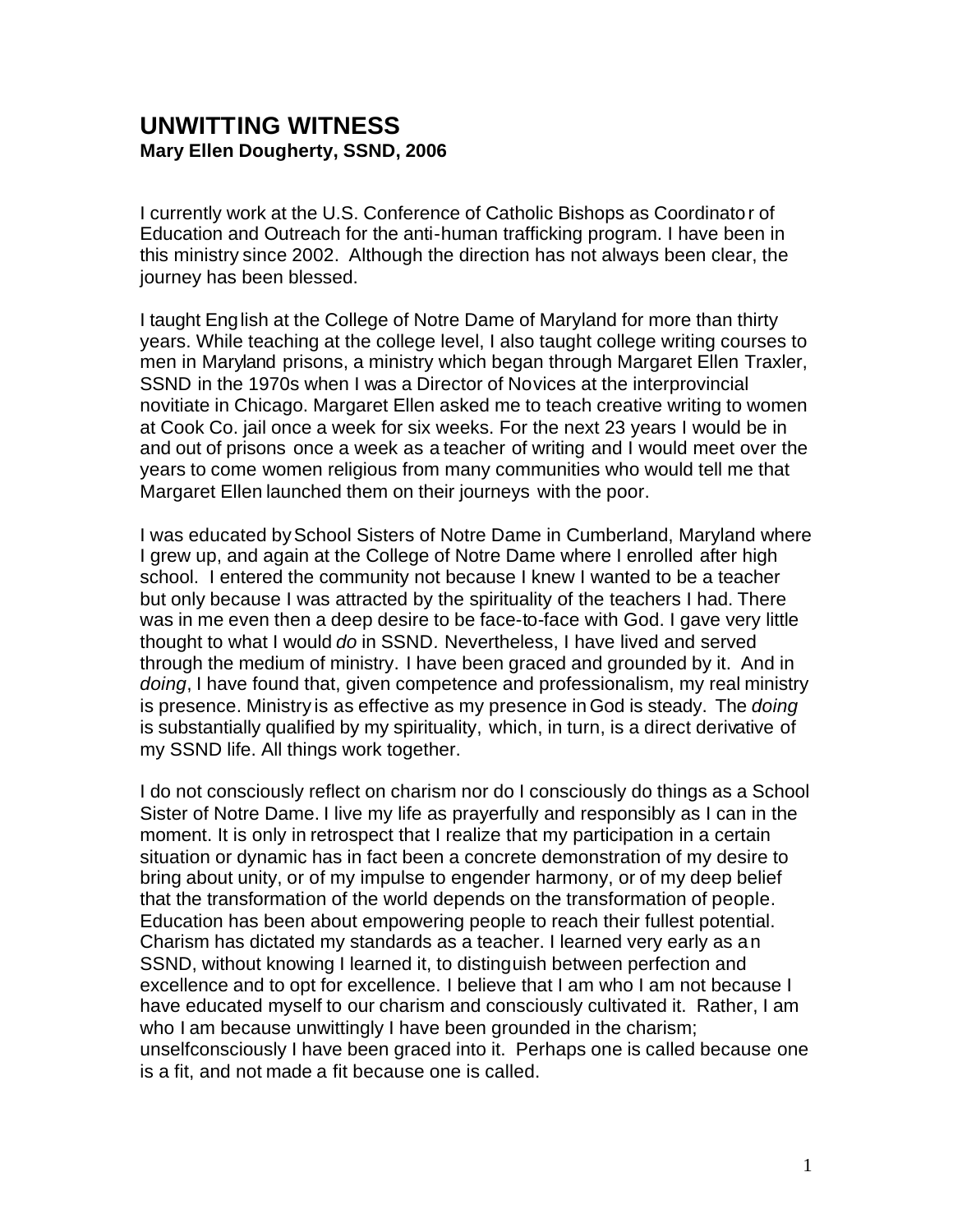## **UNWITTING WITNESS Mary Ellen Dougherty, SSND, 2006**

I currently work at the U.S. Conference of Catholic Bishops as Coordinator of Education and Outreach for the anti-human trafficking program. I have been in this ministry since 2002. Although the direction has not always been clear, the journey has been blessed.

I taught English at the College of Notre Dame of Maryland for more than thirty years. While teaching at the college level, I also taught college writing courses to men in Maryland prisons, a ministry which began through Margaret Ellen Traxler, SSND in the 1970s when I was a Director of Novices at the interprovincial novitiate in Chicago. Margaret Ellen asked me to teach creative writing to women at Cook Co. jail once a week for six weeks. For the next 23 years I would be in and out of prisons once a week as a teacher of writing and I would meet over the years to come women religious from many communities who would tell me that Margaret Ellen launched them on their journeys with the poor.

I was educated bySchool Sisters of Notre Dame in Cumberland, Maryland where I grew up, and again at the College of Notre Dame where I enrolled after high school. I entered the community not because I knew I wanted to be a teacher but only because I was attracted by the spirituality of the teachers I had. There was in me even then a deep desire to be face-to-face with God. I gave very little thought to what I would *do* in SSND*.* Nevertheless, I have lived and served through the medium of ministry. I have been graced and grounded by it. And in *doing*, I have found that, given competence and professionalism, my real ministry is presence. Ministry is as effective as my presence in God is steady. The *doing* is substantially qualified by my spirituality, which, in turn, is a direct derivative of my SSND life. All things work together.

I do not consciously reflect on charism nor do I consciously do things as a School Sister of Notre Dame. I live my life as prayerfully and responsibly as I can in the moment. It is only in retrospect that I realize that my participation in a certain situation or dynamic has in fact been a concrete demonstration of my desire to bring about unity, or of my impulse to engender harmony, or of my deep belief that the transformation of the world depends on the transformation of people. Education has been about empowering people to reach their fullest potential. Charism has dictated my standards as a teacher. I learned very early as an SSND, without knowing I learned it, to distinguish between perfection and excellence and to opt for excellence. I believe that I am who I am not because I have educated myself to our charism and consciously cultivated it. Rather, I am who I am because unwittingly I have been grounded in the charism; unselfconsciously I have been graced into it. Perhaps one is called because one is a fit, and not made a fit because one is called.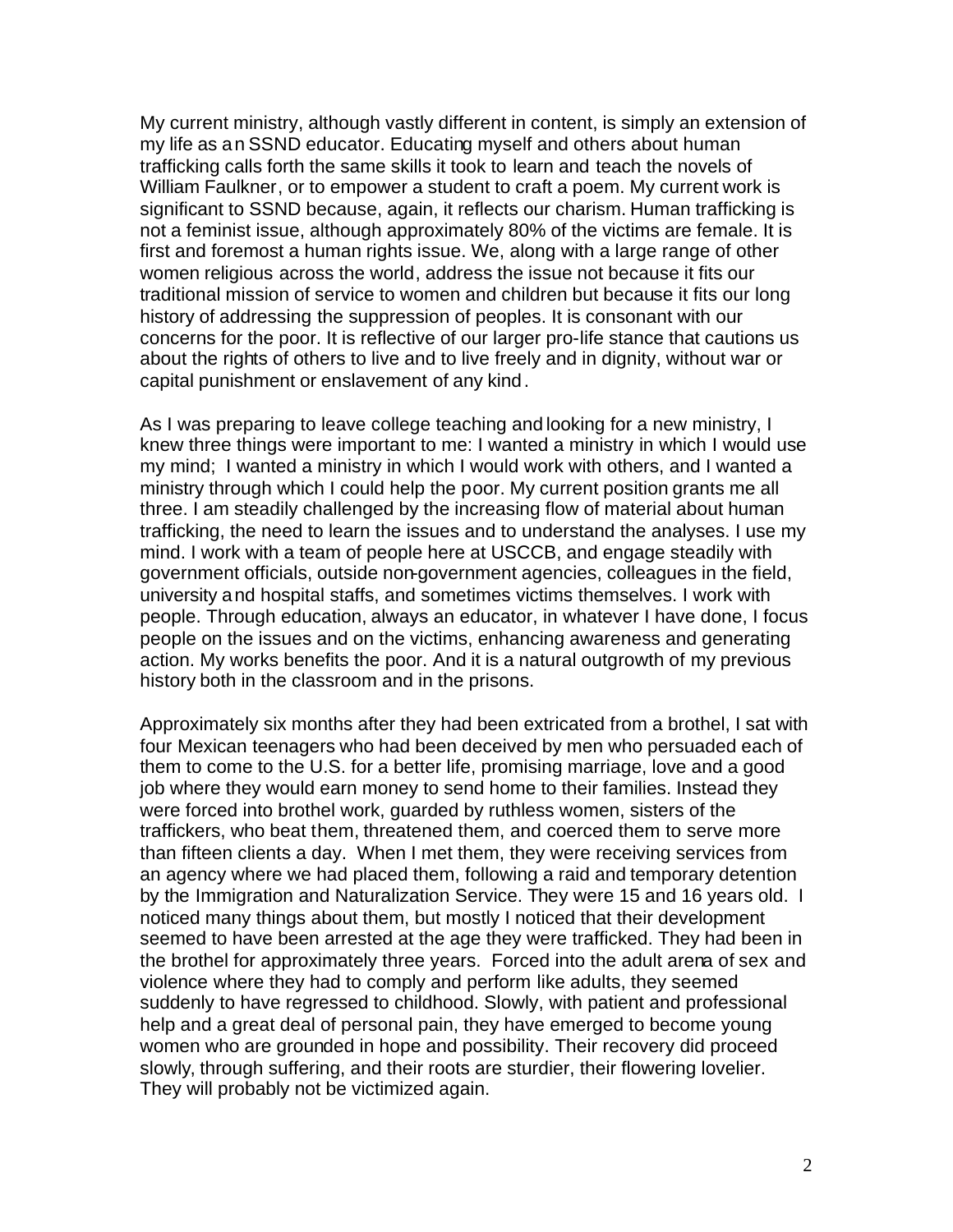My current ministry, although vastly different in content, is simply an extension of my life as an SSND educator. Educating myself and others about human trafficking calls forth the same skills it took to learn and teach the novels of William Faulkner, or to empower a student to craft a poem. My current work is significant to SSND because, again, it reflects our charism. Human trafficking is not a feminist issue, although approximately 80% of the victims are female. It is first and foremost a human rights issue. We, along with a large range of other women religious across the world, address the issue not because it fits our traditional mission of service to women and children but because it fits our long history of addressing the suppression of peoples. It is consonant with our concerns for the poor. It is reflective of our larger pro-life stance that cautions us about the rights of others to live and to live freely and in dignity, without war or capital punishment or enslavement of any kind.

As I was preparing to leave college teaching and looking for a new ministry, I knew three things were important to me: I wanted a ministry in which I would use my mind; I wanted a ministry in which I would work with others, and I wanted a ministry through which I could help the poor. My current position grants me all three. I am steadily challenged by the increasing flow of material about human trafficking, the need to learn the issues and to understand the analyses. I use my mind. I work with a team of people here at USCCB, and engage steadily with government officials, outside non-government agencies, colleagues in the field, university and hospital staffs, and sometimes victims themselves. I work with people. Through education, always an educator, in whatever I have done, I focus people on the issues and on the victims, enhancing awareness and generating action. My works benefits the poor. And it is a natural outgrowth of my previous history both in the classroom and in the prisons.

Approximately six months after they had been extricated from a brothel, I sat with four Mexican teenagers who had been deceived by men who persuaded each of them to come to the U.S. for a better life, promising marriage, love and a good job where they would earn money to send home to their families. Instead they were forced into brothel work, guarded by ruthless women, sisters of the traffickers, who beat them, threatened them, and coerced them to serve more than fifteen clients a day. When I met them, they were receiving services from an agency where we had placed them, following a raid and temporary detention by the Immigration and Naturalization Service. They were 15 and 16 years old. I noticed many things about them, but mostly I noticed that their development seemed to have been arrested at the age they were trafficked. They had been in the brothel for approximately three years. Forced into the adult arena of sex and violence where they had to comply and perform like adults, they seemed suddenly to have regressed to childhood. Slowly, with patient and professional help and a great deal of personal pain, they have emerged to become young women who are grounded in hope and possibility. Their recovery did proceed slowly, through suffering, and their roots are sturdier, their flowering lovelier. They will probably not be victimized again.